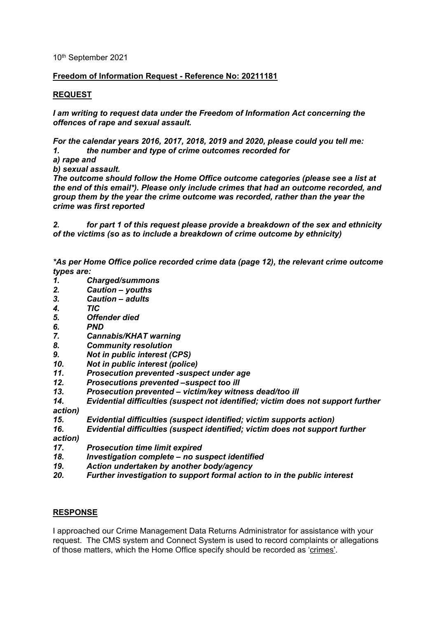10th September 2021

## **Freedom of Information Request - Reference No: 20211181**

## **REQUEST**

*I am writing to request data under the Freedom of Information Act concerning the offences of rape and sexual assault.* 

*For the calendar years 2016, 2017, 2018, 2019 and 2020, please could you tell me: 1. the number and type of crime outcomes recorded for* 

*a) rape and*

*b) sexual assault.* 

*The outcome should follow the Home Office outcome categories (please see a list at the end of this email\*). Please only include crimes that had an outcome recorded, and group them by the year the crime outcome was recorded, rather than the year the crime was first reported*

*2. for part 1 of this request please provide a breakdown of the sex and ethnicity of the victims (so as to include a breakdown of crime outcome by ethnicity)*

*\*As per Home Office police recorded crime data (page 12), the relevant crime outcome types are:*

- *1. Charged/summons*
- *2. Caution – youths*
- *3. Caution – adults*
- *4. TIC*
- *5. Offender died*
- *6. PND*
- *7. Cannabis/KHAT warning*
- *8. Community resolution*
- *9. Not in public interest (CPS)*
- 
- *10. Not in public interest (police) 11. Prosecution prevented -suspect under age*
- *12. Prosecutions prevented –suspect too ill*
- *13. Prosecution prevented – victim/key witness dead/too ill*
- *14. Evidential difficulties (suspect not identified; victim does not support further action)*
- *15. Evidential difficulties (suspect identified; victim supports action)*
- *16. Evidential difficulties (suspect identified; victim does not support further*

*action)*

- *17. Prosecution time limit expired*
- *18. Investigation complete – no suspect identified*
- *19. Action undertaken by another body/agency*
- *20. Further investigation to support formal action to in the public interest*

## **RESPONSE**

I approached our Crime Management Data Returns Administrator for assistance with your request. The CMS system and Connect System is used to record complaints or allegations of those matters, which the Home Office specify should be recorded as 'crimes'.